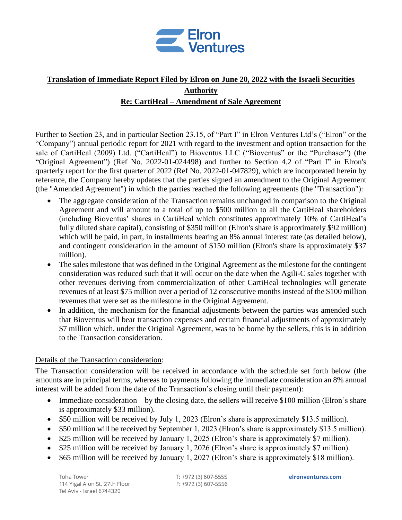

## **Translation of Immediate Report Filed by Elron on June 20, 2022 with the Israeli Securities Authority Re: CartiHeal – Amendment of Sale Agreement**

Further to Section 23, and in particular Section 23.15, of "Part I" in Elron Ventures Ltd's ("Elron" or the "Company") annual periodic report for 2021 with regard to the investment and option transaction for the sale of CartiHeal (2009) Ltd. ("CartiHeal") to Bioventus LLC ("Bioventus" or the "Purchaser") (the "Original Agreement") (Ref No. 2022-01-024498) and further to Section 4.2 of "Part I" in Elron's quarterly report for the first quarter of 2022 (Ref No. 2022-01-047829), which are incorporated herein by reference, the Company hereby updates that the parties signed an amendment to the Original Agreement (the "Amended Agreement") in which the parties reached the following agreements (the "Transaction"):

- The aggregate consideration of the Transaction remains unchanged in comparison to the Original Agreement and will amount to a total of up to \$500 million to all the CartiHeal shareholders (including Bioventus' shares in CartiHeal which constitutes approximately 10% of CartiHeal's fully diluted share capital), consisting of \$350 million (Elron's share is approximately \$92 million) which will be paid, in part, in installments bearing an 8% annual interest rate (as detailed below), and contingent consideration in the amount of \$150 million (Elron's share is approximately \$37 million).
- The sales milestone that was defined in the Original Agreement as the milestone for the contingent consideration was reduced such that it will occur on the date when the Agili-C sales together with other revenues deriving from commercialization of other CartiHeal technologies will generate revenues of at least \$75 million over a period of 12 consecutive months instead of the \$100 million revenues that were set as the milestone in the Original Agreement.
- In addition, the mechanism for the financial adjustments between the parties was amended such that Bioventus will bear transaction expenses and certain financial adjustments of approximately \$7 million which, under the Original Agreement, was to be borne by the sellers, this is in addition to the Transaction consideration.

## Details of the Transaction consideration:

The Transaction consideration will be received in accordance with the schedule set forth below (the amounts are in principal terms, whereas to payments following the immediate consideration an 8% annual interest will be added from the date of the Transaction's closing until their payment):

- Immediate consideration by the closing date, the sellers will receive \$100 million (Elron's share is approximately \$33 million).
- \$50 million will be received by July 1, 2023 (Elron's share is approximately \$13.5 million).
- \$50 million will be received by September 1, 2023 (Elron's share is approximately \$13.5 million).
- \$25 million will be received by January 1, 2025 (Elron's share is approximately \$7 million).
- \$25 million will be received by January 1, 2026 (Elron's share is approximately \$7 million).
- \$65 million will be received by January 1, 2027 (Elron's share is approximately \$18 million).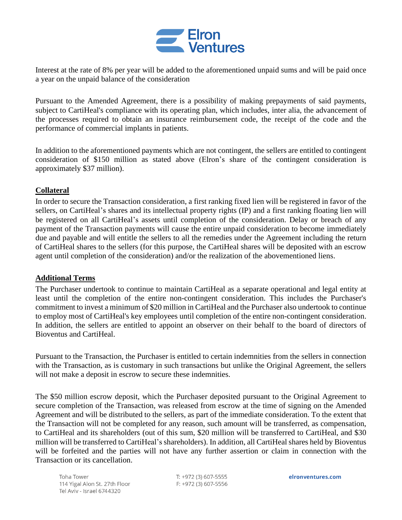

Interest at the rate of 8% per year will be added to the aforementioned unpaid sums and will be paid once a year on the unpaid balance of the consideration

Pursuant to the Amended Agreement, there is a possibility of making prepayments of said payments, subject to CartiHeal's compliance with its operating plan, which includes, inter alia, the advancement of the processes required to obtain an insurance reimbursement code, the receipt of the code and the performance of commercial implants in patients.

In addition to the aforementioned payments which are not contingent, the sellers are entitled to contingent consideration of \$150 million as stated above (Elron's share of the contingent consideration is approximately \$37 million).

## **Collateral**

In order to secure the Transaction consideration, a first ranking fixed lien will be registered in favor of the sellers, on CartiHeal's shares and its intellectual property rights (IP) and a first ranking floating lien will be registered on all CartiHeal's assets until completion of the consideration. Delay or breach of any payment of the Transaction payments will cause the entire unpaid consideration to become immediately due and payable and will entitle the sellers to all the remedies under the Agreement including the return of CartiHeal shares to the sellers (for this purpose, the CartiHeal shares will be deposited with an escrow agent until completion of the consideration) and/or the realization of the abovementioned liens.

## **Additional Terms**

The Purchaser undertook to continue to maintain CartiHeal as a separate operational and legal entity at least until the completion of the entire non-contingent consideration. This includes the Purchaser's commitment to invest a minimum of \$20 million in CartiHeal and the Purchaser also undertook to continue to employ most of CartiHeal's key employees until completion of the entire non-contingent consideration. In addition, the sellers are entitled to appoint an observer on their behalf to the board of directors of Bioventus and CartiHeal.

Pursuant to the Transaction, the Purchaser is entitled to certain indemnities from the sellers in connection with the Transaction, as is customary in such transactions but unlike the Original Agreement, the sellers will not make a deposit in escrow to secure these indemnities.

The \$50 million escrow deposit, which the Purchaser deposited pursuant to the Original Agreement to secure completion of the Transaction, was released from escrow at the time of signing on the Amended Agreement and will be distributed to the sellers, as part of the immediate consideration. To the extent that the Transaction will not be completed for any reason, such amount will be transferred, as compensation, to CartiHeal and its shareholders (out of this sum, \$20 million will be transferred to CartiHeal, and \$30 million will be transferred to CartiHeal's shareholders). In addition, all CartiHeal shares held by Bioventus will be forfeited and the parties will not have any further assertion or claim in connection with the Transaction or its cancellation.

Toha Tower 114 Yigal Alon St. 27th Floor Tel Aviv - Israel 6744320

T: +972 (3) 607-5555 F: +972 (3) 607-5556 elronventures.com